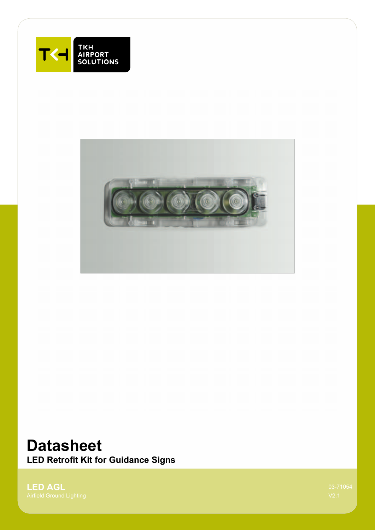



# **Datasheet**

**LED Retrofit Kit for Guidance Signs**

**LED AGL**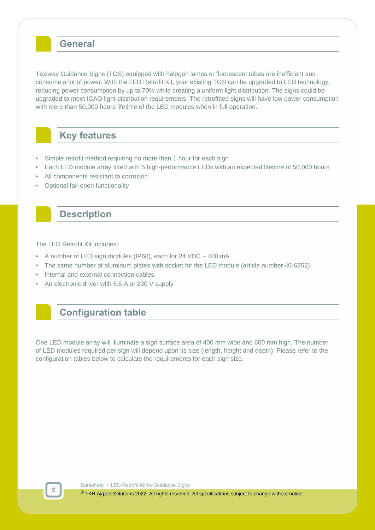### **General**

Taxiway Guidance Signs (TGS) equipped with halogen lamps or fluorescent tubes are inefficient and consume a lot of power. With the LED Retrofit Kit, your existing TGS can be upgraded to LED technology, reducing power consumption by up to 70% while creating a uniform light distribution. The signs could be upgraded to meet ICAO light distribution requirements. The retrofitted signs will have low power consumption with more than 50,000 hours lifetime of the LED modules when in full operation.

### **Key features**

- Simple retrofit method requiring no more than 1 hour for each sign
- Each LED module array fitted with 5 high-performance LEDs with an expected lifetime of 50,000 hours
- All components resistant to corrosion
- Optional fail-open functionality

### **Description**

The LED Retrofit Kit includes:

- A number of LED sign modules (IP68), each for 24 VDC 400 mA
- The same number of aluminum plates with socket for the LED module (article number 40-6352)
- Internal and external connection cables
- An electronic driver with 6.6 A or 230 V supply

## **Configuration table**

One LED module array will illuminate a sign surface area of 400 mm wide and 600 mm high. The number of LED modules required per sign will depend upon its size (length, height and depth). Please refer to the configuration tables below to calculate the requirements for each sign size.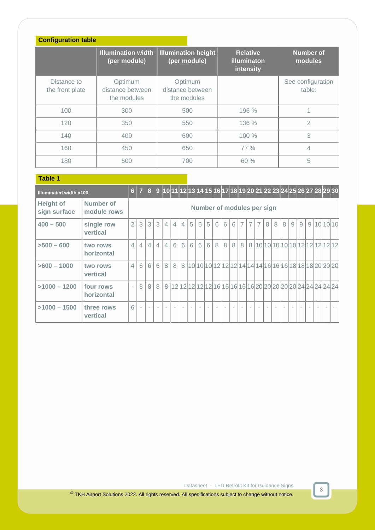| <b>Configuration table</b>     |                                            |                                            |                                             |                             |
|--------------------------------|--------------------------------------------|--------------------------------------------|---------------------------------------------|-----------------------------|
|                                | <b>Illumination width</b><br>(per module)  | <b>Illumination height</b><br>(per module) | <b>Relative</b><br>illuminaton<br>intensity | <b>Number of</b><br>modules |
| Distance to<br>the front plate | Optimum<br>distance between<br>the modules | Optimum<br>distance between<br>the modules |                                             | See configuration<br>table: |
| 100                            | 300                                        | 500                                        | 196 %                                       |                             |
| 120                            | 350                                        | 550                                        | 136 %                                       | $\overline{2}$              |
| 140                            | 400                                        | 600                                        | 100%                                        | 3                           |
| 160                            | 450                                        | 650                                        | 77 %                                        | 4                           |
| 180                            | 500                                        | 700                                        | 60%                                         | 5                           |

#### **Table 1 Table 1 Table 1 Table 1 Table 1 Table 1 Table 1 Table 1 Table 1 Table 1 Table 1 Table 1 Table 1 Table 1 Table 1 Table 1 Table 1 Table 1 Table 1 Table 1 Table 1 Table 1 T**

| <b>Illuminated width x100</b>    |                          |                |                |             |                |                |                |                |   |   |   |   |   |   |                |                            |                |   |   |   |   |   |   | 6 7 8 9 10 11 12 13 14 15 16 17 18 19 20 21 22 23 24 25 26 27 28 29 30 |  |
|----------------------------------|--------------------------|----------------|----------------|-------------|----------------|----------------|----------------|----------------|---|---|---|---|---|---|----------------|----------------------------|----------------|---|---|---|---|---|---|------------------------------------------------------------------------|--|
| <b>Height of</b><br>sign surface | Number of<br>module rows |                |                |             |                |                |                |                |   |   |   |   |   |   |                | Number of modules per sign |                |   |   |   |   |   |   |                                                                        |  |
| $400 - 500$                      | single row<br>vertical   | $\overline{2}$ | 3              | 3           | 3              | $\overline{4}$ | $\overline{4}$ | $\overline{4}$ | 5 | 5 | 5 | 6 | 6 | 6 | $\overline{7}$ | $\overline{7}$             | $\overline{7}$ | 8 | 8 | 8 | 9 | 9 | 9 | 101010                                                                 |  |
| $>500 - 600$                     | two rows<br>horizontal   | $\overline{4}$ | $\overline{4}$ | $4^{\circ}$ | $\overline{4}$ | $\overline{4}$ | 6              | 6              | 6 | 6 | 6 | 8 | 8 | 8 | 8              | 8                          |                |   |   |   |   |   |   | 10 10 10 10 10 12 12 12 12 12                                          |  |
| $>600 - 1000$                    | two rows<br>vertical     | $\overline{4}$ | 6              | 6           | 6              | 8 <sup>1</sup> | 8              |                |   |   |   |   |   |   |                |                            |                |   |   |   |   |   |   | 8 10 10 10 12 12 12 14 14 14 16 16 16 18 18 18 20 20 20                |  |
| $>1000 - 1200$                   | four rows<br>horizontal  | $\sim$         | 8              | 8           | 8              |                |                |                |   |   |   |   |   |   |                |                            |                |   |   |   |   |   |   | 8 12 12 12 12 12 12 16 16 16 16 16 20 20 20 20 20 20 21 24 24 24 24    |  |
| $>1000 - 1500$                   | three rows<br>vertical   | 6              |                |             |                |                |                |                |   |   |   |   |   |   |                |                            |                |   |   |   |   |   |   |                                                                        |  |

**3**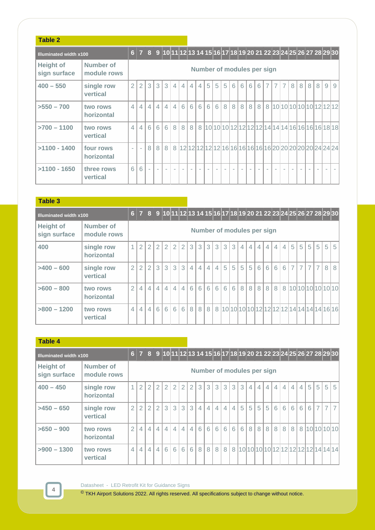### **Table 2**

| <b>Illuminated width x100</b>    |                          |                |                |                |                |                |                |                |                |                |        |        |   |   |   | 6 7 8 9 10 11 12 13 14 15 16 17 18 19 20 21 22 23 24 25 26 27 28 29 30 |                |                |                |                |   |   |                            |   |   |   |
|----------------------------------|--------------------------|----------------|----------------|----------------|----------------|----------------|----------------|----------------|----------------|----------------|--------|--------|---|---|---|------------------------------------------------------------------------|----------------|----------------|----------------|----------------|---|---|----------------------------|---|---|---|
| <b>Height of</b><br>sign surface | Number of<br>module rows |                |                |                |                |                |                |                |                |                |        |        |   |   |   | Number of modules per sign                                             |                |                |                |                |   |   |                            |   |   |   |
| $400 - 550$                      | single row<br>vertical   | $\overline{2}$ | $\overline{2}$ | 3              | 3              | 3              | $\overline{4}$ | $\overline{4}$ | $\overline{4}$ | $\overline{4}$ | 5      | 5      | 5 | 6 | 6 | 6                                                                      | 6              | $\overline{7}$ | $\overline{7}$ | $\overline{7}$ | 8 | 8 | 8                          | 8 | 9 | 9 |
| $>550 - 700$                     | two rows<br>horizontal   | $\overline{4}$ | 4 <sup>1</sup> | $\overline{4}$ | $\overline{4}$ | $\overline{4}$ | $\overline{4}$ | 6              | 6 <sup>1</sup> | 6              | 6      | 6      | 8 | 8 | 8 | 8                                                                      | 8 <sup>1</sup> | 8              |                |                |   |   | 10 10 10 10 10 10 12 12 12 |   |   |   |
| $>700 - 1100$                    | two rows<br>vertical     | $\overline{4}$ | 4              | 6              | 6              | 6              | 8              | 8              | 8              |                |        |        |   |   |   | 8 10 10 10 12 12 12 12 14 14 14 16 16 16 16 18 18                      |                |                |                |                |   |   |                            |   |   |   |
| $>1100 - 1400$                   | four rows<br>horizontal  |                |                | 8              | 8              | 8              |                |                |                |                |        |        |   |   |   | 8 12 12 12 12 12 12 16 16 16 16 16 16 20 20 20 20 20 20 24 24 24       |                |                |                |                |   |   |                            |   |   |   |
| $>1100 - 1650$                   | three rows<br>vertical   | 6              | 6              | $\sim$         | $\sim$         |                | $\sim$         | $\sim$         | $\sim$         | $\sim$         | $\sim$ | $\sim$ | ٠ |   |   |                                                                        |                |                |                |                |   |   |                            |   |   |   |

#### **Table 3**

| <b>Illuminated width x100</b>    |                          |                |                |                |                |                |                |                |                |                |                |                |   |   |                |                            |                |                |                |                |                |                |                |                | 6 7 8 9 10 11 12 13 14 15 16 17 18 19 20 21 22 23 24 25 26 27 28 29 30 |                                             |
|----------------------------------|--------------------------|----------------|----------------|----------------|----------------|----------------|----------------|----------------|----------------|----------------|----------------|----------------|---|---|----------------|----------------------------|----------------|----------------|----------------|----------------|----------------|----------------|----------------|----------------|------------------------------------------------------------------------|---------------------------------------------|
| <b>Height of</b><br>sign surface | Number of<br>module rows |                |                |                |                |                |                |                |                |                |                |                |   |   |                | Number of modules per sign |                |                |                |                |                |                |                |                |                                                                        |                                             |
| 400                              | single row<br>horizontal | $\overline{1}$ | $\overline{2}$ | 2              | 2              | $\overline{2}$ | $\overline{2}$ | $\overline{2}$ | 3              | 3              | 3              | $\overline{3}$ | 3 | 3 | $\overline{4}$ | $\overline{4}$             | $\overline{4}$ | $\overline{4}$ | 4 <sup>1</sup> | $\overline{4}$ | 5 <sup>1</sup> | 5              | 5              | 5              | 5 <sup>1</sup>                                                         | 5                                           |
| $>400 - 600$                     | single row<br>vertical   | $\overline{2}$ | $\overline{2}$ | 2              | $\mathcal{S}$  | 3              | 3              | 3              | $\overline{4}$ | $\overline{4}$ | $\overline{4}$ | 4              | 5 | 5 | 5              | 5                          | 6              | 6              | 6              | 6              | 7              | $\overline{7}$ | $\overline{7}$ | $\overline{7}$ | 8                                                                      | 8                                           |
| $>600 - 800$                     | two rows<br>horizontal   | $\mathfrak{D}$ | $\overline{4}$ | $\overline{4}$ | $\overline{4}$ | $\overline{4}$ | $\overline{4}$ | $\overline{4}$ | 6              | 6              | 6              | 6              | 6 | 6 | 8              | 8                          | 8 <sup>1</sup> | 8              | 8 <sup>1</sup> |                |                |                |                |                |                                                                        | 8 10 10 10 10 10 10 10                      |
| $>800 - 1200$                    | two rows<br>vertical     | $\overline{4}$ | $\overline{4}$ | $\overline{4}$ | 6              | 6              | 6              | 6              | 8              | 8              | 8 <sup>1</sup> |                |   |   |                |                            |                |                |                |                |                |                |                |                |                                                                        | 8 10 10 10 10 12 12 12 12 14 14 14 14 16 16 |

#### **Table 4**

**4**

| <b>Illuminated width x100</b>    |                          |                |                |                |                |                |                |                |                |                |                |                |                |                |   |                            |                |                |                |                |                |                |   |                | 6 7 8 9 10 11 12 13 14 15 16 17 18 19 20 21 22 23 24 25 26 27 28 29 30 |                |
|----------------------------------|--------------------------|----------------|----------------|----------------|----------------|----------------|----------------|----------------|----------------|----------------|----------------|----------------|----------------|----------------|---|----------------------------|----------------|----------------|----------------|----------------|----------------|----------------|---|----------------|------------------------------------------------------------------------|----------------|
| <b>Height of</b><br>sign surface | Number of<br>module rows |                |                |                |                |                |                |                |                |                |                |                |                |                |   | Number of modules per sign |                |                |                |                |                |                |   |                |                                                                        |                |
| $400 - 450$                      | single row<br>horizontal |                | $\overline{2}$ | 2              | $\overline{2}$ | $\overline{2}$ | $\overline{2}$ | $\overline{2}$ | $\overline{2}$ | 3              | 3              | 3              | 3              | 3              | 3 | $\overline{4}$             | $\overline{4}$ | $\overline{4}$ | 4              | $\overline{4}$ | $\overline{4}$ | $\overline{4}$ | 5 | 5              | 5 <sup>1</sup>                                                         | 5              |
| $>450-650$                       | single row<br>vertical   | $\overline{2}$ | $\overline{2}$ | 2 <sub>1</sub> | 2 <sub>1</sub> | 3              | 3              | 3              | 3              | $\overline{4}$ | $\overline{4}$ | $\overline{4}$ | $\overline{4}$ | $\overline{4}$ | 5 | 5                          | 5              | 5              | 6              | 6 <sup>1</sup> | 6              | 6              | 6 | $\overline{7}$ | 7                                                                      | $\overline{7}$ |
| $>650-900$                       | two rows<br>horizontal   | $\overline{2}$ | $\overline{4}$ | $\overline{4}$ | 4              | $\overline{4}$ | $\overline{4}$ | $\overline{4}$ | $\overline{4}$ | 6              | 6 <sup>1</sup> | 6              | 6              | 6              | 6 | 8                          | 8              | 8              | 8 <sup>1</sup> | 8              | 8              |                |   |                | 8 10 10 10 10                                                          |                |
| $>900 - 1300$                    | two rows<br>vertical     | $\overline{4}$ | 4 <sup>1</sup> | $\overline{4}$ | 4              | 6              | 6              | 6              | 6              | 8              | 8 <sup>1</sup> | 8 <sup>1</sup> | 8 <sup>1</sup> |                |   |                            |                |                |                |                |                |                |   |                | 8 10 10 10 10 10 12 12 12 12 12 12 14 14 14                            |                |

Datasheet - LED Retrofit Kit for Guidance Signs

© TKH Airport Solutions 2022. All rights reserved. All specifications subject to change without notice.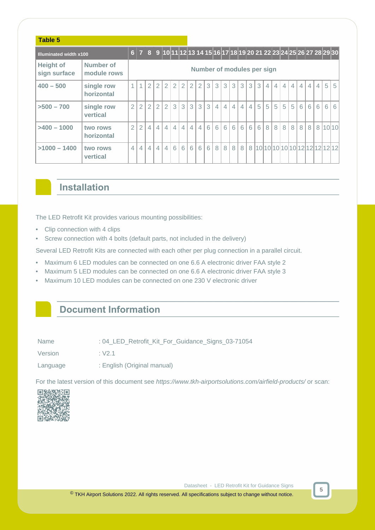| Table 5                          |                          |                |                |                |                |                |                |                |                |                |   |                |                |                |                |                            |   |                |                |                |                |                |                |                |                                                                        |         |
|----------------------------------|--------------------------|----------------|----------------|----------------|----------------|----------------|----------------|----------------|----------------|----------------|---|----------------|----------------|----------------|----------------|----------------------------|---|----------------|----------------|----------------|----------------|----------------|----------------|----------------|------------------------------------------------------------------------|---------|
| <b>Illuminated width x100</b>    |                          |                |                |                |                |                |                |                |                |                |   |                |                |                |                |                            |   |                |                |                |                |                |                |                | 6 7 8 9 10 11 12 13 14 15 16 17 18 19 20 21 22 23 24 25 26 27 28 29 30 |         |
| <b>Height of</b><br>sign surface | Number of<br>module rows |                |                |                |                |                |                |                |                |                |   |                |                |                |                | Number of modules per sign |   |                |                |                |                |                |                |                |                                                                        |         |
| $400 - 500$                      | single row<br>horizontal | 1              | 1 <sup>1</sup> | 2              | $\overline{2}$ | $\overline{2}$ | $\overline{2}$ | $\overline{2}$ | $\overline{2}$ | $\overline{2}$ | 3 | 3              | 3              | 3              | 3              | 3                          | 3 | $\overline{4}$ | $\overline{4}$ | $\overline{4}$ | $\overline{4}$ | $\overline{4}$ | $\overline{4}$ | $\overline{4}$ | 5 <sup>1</sup>                                                         | 5       |
| $>500 - 700$                     | single row<br>vertical   | $\overline{2}$ | $\overline{2}$ | $\overline{2}$ | $\overline{2}$ | $\overline{2}$ | 3              | 3              | 3              | 3              | 3 | $\overline{4}$ | $\overline{4}$ | $\overline{4}$ | $\overline{4}$ | 4                          | 5 | 5              | 5              | 5              | 5              | 6              | 6              | 6              | 6 <sup>1</sup>                                                         | 6       |
| $>400 - 1000$                    | two rows<br>horizontal   | $\overline{2}$ | $\overline{2}$ | $\overline{4}$ | $\overline{4}$ | $\overline{4}$ | $\overline{4}$ | $\overline{4}$ | $\overline{4}$ | $\overline{4}$ | 6 | 6              | 6              | 6              | 6              | 6                          | 6 | 8              | 8              | 8              | 8              | 8              | 8              |                |                                                                        | 8 10 10 |
| $>1000 - 1400$                   | two rows<br>vertical     | 4 <sup>1</sup> | 4              | $\overline{4}$ | $\overline{4}$ | $\overline{4}$ | 6              | 6              | 6              | 6              | 6 | 8              | 8              | 8              | 8              |                            |   |                |                |                |                |                |                |                |                                                                        |         |

### **Installation**

The LED Retrofit Kit provides various mounting possibilities:

- Clip connection with 4 clips
- Screw connection with 4 bolts (default parts, not included in the delivery)

Several LED Retrofit Kits are connected with each other per plug connection in a parallel circuit.

- Maximum 6 LED modules can be connected on one 6.6 A electronic driver FAA style 2
- Maximum 5 LED modules can be connected on one 6.6 A electronic driver FAA style 3
- Maximum 10 LED modules can be connected on one 230 V electronic driver

### **Document Information**

Version : V2.1

Language : English (Original manual)

For the latest version of this document see <https://www.tkh-airportsolutions.com/airfield-products/> or scan:



Datasheet - LED Retrofit Kit for Guidance Signs

**5**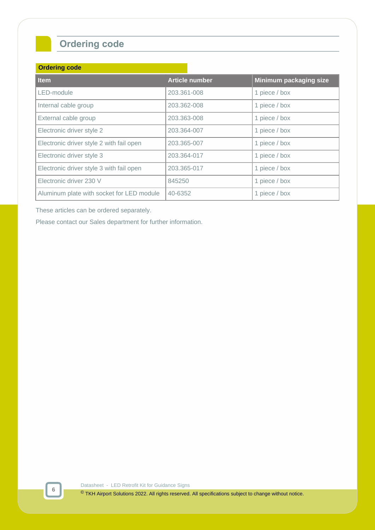## **Ordering code**

#### **Ordering code**

| <b>Item</b>                               | <b>Article number</b> | Minimum packaging size |
|-------------------------------------------|-----------------------|------------------------|
| LED-module                                | 203.361-008           | 1 piece / box          |
| Internal cable group                      | 203.362-008           | 1 piece / box          |
| External cable group                      | 203.363-008           | 1 piece / box          |
| Electronic driver style 2                 | 203.364-007           | 1 piece / box          |
| Electronic driver style 2 with fail open  | 203.365-007           | 1 piece / box          |
| Electronic driver style 3                 | 203.364-017           | 1 piece / box          |
| Electronic driver style 3 with fail open  | 203.365-017           | 1 piece / box          |
| Electronic driver 230 V                   | 845250                | 1 piece / box          |
| Aluminum plate with socket for LED module | 40-6352               | 1 piece / box          |

These articles can be ordered separately.

Please contact our Sales department for further information.

Datasheet - LED Retrofit Kit for Guidance Signs

© TKH Airport Solutions 2022. All rights reserved. All specifications subject to change without notice.